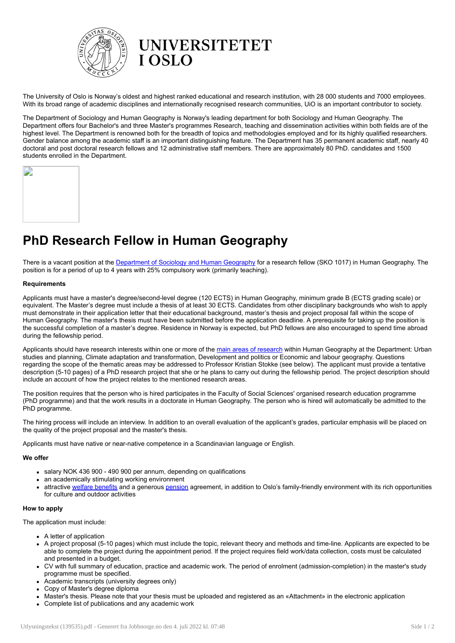

The University of Oslo is Norway's oldest and highest ranked educational and research institution, with 28 000 students and 7000 employees. With its broad range of academic disciplines and internationally recognised research communities, UiO is an important contributor to society.

The Department of Sociology and Human Geography is Norway's leading department for both Sociology and Human Geography. The Department offers four Bachelor's and three Master's programmes Research, teaching and dissemination activities within both fields are of the highest level. The Department is renowned both for the breadth of topics and methodologies employed and for its highly qualified researchers. Gender balance among the academic staff is an important distinguishing feature. The Department has 35 permanent academic staff, nearly 40 doctoral and post doctoral research fellows and 12 administrative staff members. There are approximately 80 PhD. candidates and 1500 students enrolled in the Department.

| J, |  |  |
|----|--|--|
|    |  |  |
|    |  |  |
|    |  |  |
|    |  |  |
|    |  |  |
|    |  |  |
|    |  |  |
|    |  |  |
|    |  |  |
|    |  |  |

# PhD Research Fellow in Human Geography

There is a vacant position at the [Department](http://www.sv.uio.no/iss/english/) of Sociology and Human Geography for a research fellow (SKO 1017) in Human Geography. The position is for a period of up to 4 years with 25% compulsory work (primarily teaching).

## Requirements

Applicants must have a master's degree/second-level degree (120 ECTS) in Human Geography, minimum grade B (ECTS grading scale) or equivalent. The Master's degree must include a thesis of at least 30 ECTS. Candidates from other disciplinary backgrounds who wish to apply must demonstrate in their application letter that their educational background, master's thesis and project proposal fall within the scope of Human Geography. The master's thesis must have been submitted before the application deadline. A prerequisite for taking up the position is the successful completion of a master's degree. Residence in Norway is expected, but PhD fellows are also encouraged to spend time abroad during the fellowship period.

Applicants should have [research](https://www.sv.uio.no/iss/english/research/index.html) interests within one or more of the main areas of research within Human Geography at the Department: Urban studies and planning, Climate adaptation and transformation, Development and politics or Economic and labour geography. Questions regarding the scope of the thematic areas may be addressed to Professor Kristian Stokke (see below). The applicant must provide a tentative description (5-10 pages) of a PhD research project that she or he plans to carry out during the fellowship period. The project description should include an account of how the project relates to the mentioned research areas.

The position requires that the person who is hired participates in the Faculty of Social Sciences' organised research education programme (PhD programme) and that the work results in a doctorate in Human Geography. The person who is hired will automatically be admitted to the PhD programme.

The hiring process will include an interview. In addition to an overall evaluation of the applicant's grades, particular emphasis will be placed on the quality of the project proposal and the master's thesis.

Applicants must have native or near-native competence in a Scandinavian language or English.

## We offer

- salary NOK 436 900 490 900 per annum, depending on qualifications
- an academically stimulating working environment
- attractive welfare [benefits](http://www.uio.no/english/for-employees/employment/welfare/) and a generous [pension](http://www.uio.no/english/for-employees/employment/payments/pension/) agreement, in addition to Oslo's family-friendly environment with its rich opportunities for culture and outdoor activities

## How to apply

The application must include:

- A letter of application
- A project proposal (5-10 pages) which must include the topic, relevant theory and methods and time-line. Applicants are expected to be able to complete the project during the appointment period. If the project requires field work/data collection, costs must be calculated and presented in a budget.
- CV with full summary of education, practice and academic work. The period of enrolment (admission-completion) in the master's study programme must be specified.
- Academic transcripts (university degrees only)
- Copy of Master's degree diploma
- Master's thesis. Please note that your thesis must be uploaded and registered as an «Attachment» in the electronic application  $\bullet$
- Complete list of publications and any academic work